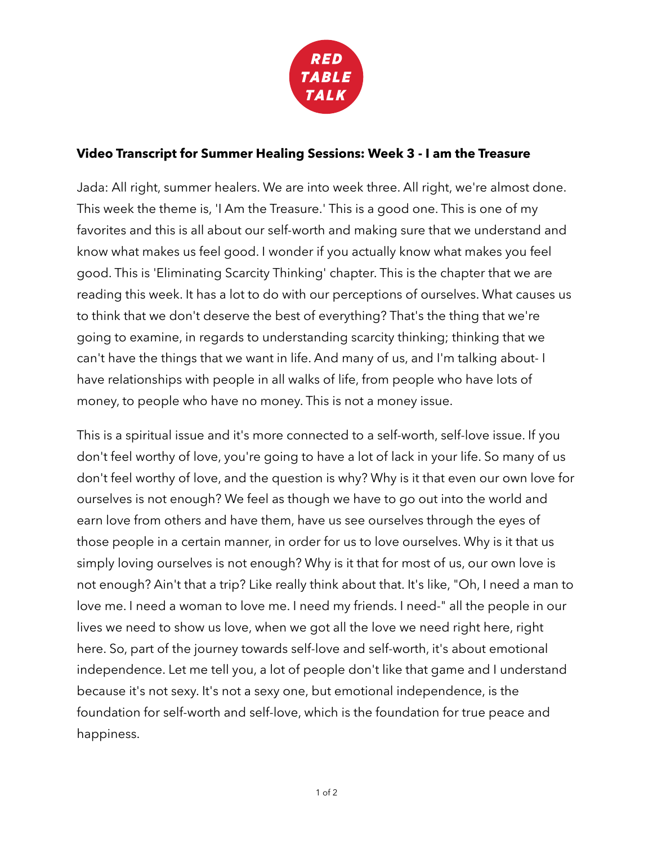

## **Video Transcript for Summer Healing Sessions: Week 3 - I am the Treasure**

Jada: All right, summer healers. We are into week three. All right, we're almost done. This week the theme is, 'I Am the Treasure.' This is a good one. This is one of my favorites and this is all about our self-worth and making sure that we understand and know what makes us feel good. I wonder if you actually know what makes you feel good. This is 'Eliminating Scarcity Thinking' chapter. This is the chapter that we are reading this week. It has a lot to do with our perceptions of ourselves. What causes us to think that we don't deserve the best of everything? That's the thing that we're going to examine, in regards to understanding scarcity thinking; thinking that we can't have the things that we want in life. And many of us, and I'm talking about- I have relationships with people in all walks of life, from people who have lots of money, to people who have no money. This is not a money issue.

This is a spiritual issue and it's more connected to a self-worth, self-love issue. If you don't feel worthy of love, you're going to have a lot of lack in your life. So many of us don't feel worthy of love, and the question is why? Why is it that even our own love for ourselves is not enough? We feel as though we have to go out into the world and earn love from others and have them, have us see ourselves through the eyes of those people in a certain manner, in order for us to love ourselves. Why is it that us simply loving ourselves is not enough? Why is it that for most of us, our own love is not enough? Ain't that a trip? Like really think about that. It's like, "Oh, I need a man to love me. I need a woman to love me. I need my friends. I need-" all the people in our lives we need to show us love, when we got all the love we need right here, right here. So, part of the journey towards self-love and self-worth, it's about emotional independence. Let me tell you, a lot of people don't like that game and I understand because it's not sexy. It's not a sexy one, but emotional independence, is the foundation for self-worth and self-love, which is the foundation for true peace and happiness.